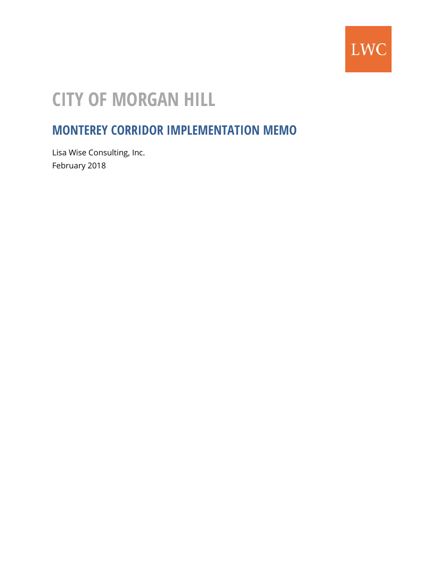

# **CITY OF MORGAN HILL**

## **MONTEREY CORRIDOR IMPLEMENTATION MEMO**

Lisa Wise Consulting, Inc. February 2018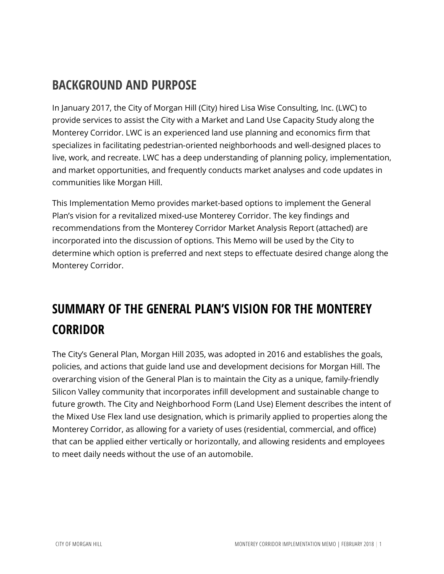## **BACKGROUND AND PURPOSE**

In January 2017, the City of Morgan Hill (City) hired Lisa Wise Consulting, Inc. (LWC) to provide services to assist the City with a Market and Land Use Capacity Study along the Monterey Corridor. LWC is an experienced land use planning and economics firm that specializes in facilitating pedestrian-oriented neighborhoods and well-designed places to live, work, and recreate. LWC has a deep understanding of planning policy, implementation, and market opportunities, and frequently conducts market analyses and code updates in communities like Morgan Hill.

This Implementation Memo provides market-based options to implement the General Plan's vision for a revitalized mixed-use Monterey Corridor. The key findings and recommendations from the Monterey Corridor Market Analysis Report (attached) are incorporated into the discussion of options. This Memo will be used by the City to determine which option is preferred and next steps to effectuate desired change along the Monterey Corridor.

## **SUMMARY OF THE GENERAL PLAN'S VISION FOR THE MONTEREY CORRIDOR**

The City's General Plan, Morgan Hill 2035, was adopted in 2016 and establishes the goals, policies, and actions that guide land use and development decisions for Morgan Hill. The overarching vision of the General Plan is to maintain the City as a unique, family-friendly Silicon Valley community that incorporates infill development and sustainable change to future growth. The City and Neighborhood Form (Land Use) Element describes the intent of the Mixed Use Flex land use designation, which is primarily applied to properties along the Monterey Corridor, as allowing for a variety of uses (residential, commercial, and office) that can be applied either vertically or horizontally, and allowing residents and employees to meet daily needs without the use of an automobile.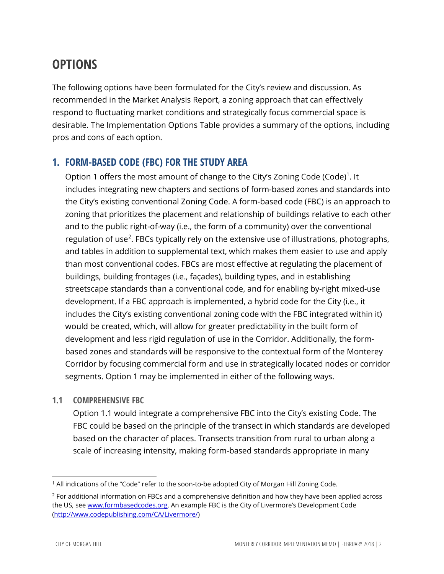## **OPTIONS**

The following options have been formulated for the City's review and discussion. As recommended in the Market Analysis Report, a zoning approach that can effectively respond to fluctuating market conditions and strategically focus commercial space is desirable. The Implementation Options Table provides a summary of the options, including pros and cons of each option.

#### **1. FORM-BASED CODE (FBC) FOR THE STUDY AREA**

Option [1](#page-2-0) offers the most amount of change to the City's Zoning Code (Code)<sup>1</sup>. It includes integrating new chapters and sections of form-based zones and standards into the City's existing conventional Zoning Code. A form-based code (FBC) is an approach to zoning that prioritizes the placement and relationship of buildings relative to each other and to the public right-of-way (i.e., the form of a community) over the conventional regulation of use<sup>[2](#page-2-1)</sup>. FBCs typically rely on the extensive use of illustrations, photographs, and tables in addition to supplemental text, which makes them easier to use and apply than most conventional codes. FBCs are most effective at regulating the placement of buildings, building frontages (i.e., façades), building types, and in establishing streetscape standards than a conventional code, and for enabling by-right mixed-use development. If a FBC approach is implemented, a hybrid code for the City (i.e., it includes the City's existing conventional zoning code with the FBC integrated within it) would be created, which, will allow for greater predictability in the built form of development and less rigid regulation of use in the Corridor. Additionally, the formbased zones and standards will be responsive to the contextual form of the Monterey Corridor by focusing commercial form and use in strategically located nodes or corridor segments. Option 1 may be implemented in either of the following ways.

#### **1.1 COMPREHENSIVE FBC**

Option 1.1 would integrate a comprehensive FBC into the City's existing Code. The FBC could be based on the principle of the transect in which standards are developed based on the character of places. Transects transition from rural to urban along a scale of increasing intensity, making form-based standards appropriate in many

<span id="page-2-0"></span> <sup>1</sup> All indications of the "Code" refer to the soon-to-be adopted City of Morgan Hill Zoning Code.

<span id="page-2-1"></span> $2$  For additional information on FBCs and a comprehensive definition and how they have been applied across the US, see [www.formbasedcodes.org.](http://www.formbasedcodes.org/) An example FBC is the City of Livermore's Development Code [\(http://www.codepublishing.com/CA/Livermore/\)](http://www.codepublishing.com/CA/Livermore/)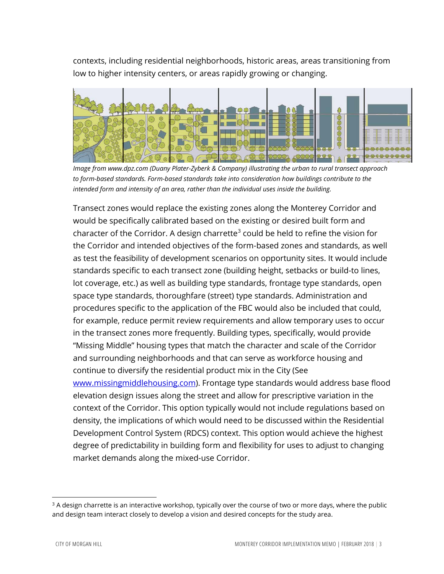contexts, including residential neighborhoods, historic areas, areas transitioning from low to higher intensity centers, or areas rapidly growing or changing.



*Image from www.dpz.com (Duany Plater-Zyberk & Company) illustrating the urban to rural transect approach to form-based standards. Form-based standards take into consideration how buildings contribute to the intended form and intensity of an area, rather than the individual uses inside the building.*

Transect zones would replace the existing zones along the Monterey Corridor and would be specifically calibrated based on the existing or desired built form and character of the Corridor. A design charrette<sup>[3](#page-3-0)</sup> could be held to refine the vision for the Corridor and intended objectives of the form-based zones and standards, as well as test the feasibility of development scenarios on opportunity sites. It would include standards specific to each transect zone (building height, setbacks or build-to lines, lot coverage, etc.) as well as building type standards, frontage type standards, open space type standards, thoroughfare (street) type standards. Administration and procedures specific to the application of the FBC would also be included that could, for example, reduce permit review requirements and allow temporary uses to occur in the transect zones more frequently. Building types, specifically, would provide "Missing Middle" housing types that match the character and scale of the Corridor and surrounding neighborhoods and that can serve as workforce housing and continue to diversify the residential product mix in the City (See [www.missingmiddlehousing.com\)](http://www.missingmiddlehousing.com/). Frontage type standards would address base flood elevation design issues along the street and allow for prescriptive variation in the context of the Corridor. This option typically would not include regulations based on density, the implications of which would need to be discussed within the Residential Development Control System (RDCS) context. This option would achieve the highest degree of predictability in building form and flexibility for uses to adjust to changing market demands along the mixed-use Corridor.

<span id="page-3-0"></span> $3$  A design charrette is an interactive workshop, typically over the course of two or more days, where the public and design team interact closely to develop a vision and desired concepts for the study area.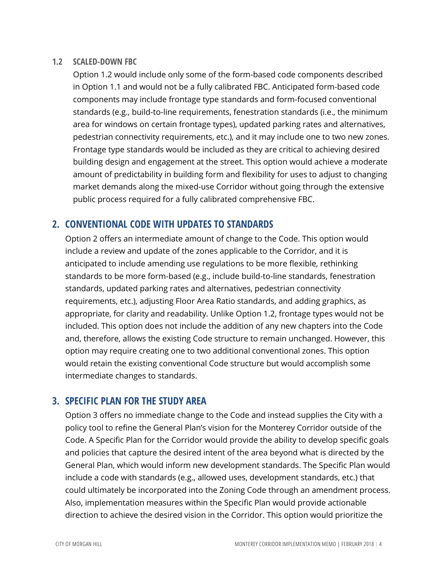#### **1.2 SCALED-DOWN FBC**

Option 1.2 would include only some of the form-based code components described in Option 1.1 and would not be a fully calibrated FBC. Anticipated form-based code components may include frontage type standards and form-focused conventional standards (e.g., build-to-line requirements, fenestration standards (i.e., the minimum area for windows on certain frontage types), updated parking rates and alternatives, pedestrian connectivity requirements, etc.), and it may include one to two new zones. Frontage type standards would be included as they are critical to achieving desired building design and engagement at the street. This option would achieve a moderate amount of predictability in building form and flexibility for uses to adjust to changing market demands along the mixed-use Corridor without going through the extensive public process required for a fully calibrated comprehensive FBC.

#### **2. CONVENTIONAL CODE WITH UPDATES TO STANDARDS**

Option 2 offers an intermediate amount of change to the Code. This option would include a review and update of the zones applicable to the Corridor, and it is anticipated to include amending use regulations to be more flexible, rethinking standards to be more form-based (e.g., include build-to-line standards, fenestration standards, updated parking rates and alternatives, pedestrian connectivity requirements, etc.), adjusting Floor Area Ratio standards, and adding graphics, as appropriate, for clarity and readability. Unlike Option 1.2, frontage types would not be included. This option does not include the addition of any new chapters into the Code and, therefore, allows the existing Code structure to remain unchanged. However, this option may require creating one to two additional conventional zones. This option would retain the existing conventional Code structure but would accomplish some intermediate changes to standards.

#### **3. SPECIFIC PLAN FOR THE STUDY AREA**

Option 3 offers no immediate change to the Code and instead supplies the City with a policy tool to refine the General Plan's vision for the Monterey Corridor outside of the Code. A Specific Plan for the Corridor would provide the ability to develop specific goals and policies that capture the desired intent of the area beyond what is directed by the General Plan, which would inform new development standards. The Specific Plan would include a code with standards (e.g., allowed uses, development standards, etc.) that could ultimately be incorporated into the Zoning Code through an amendment process. Also, implementation measures within the Specific Plan would provide actionable direction to achieve the desired vision in the Corridor. This option would prioritize the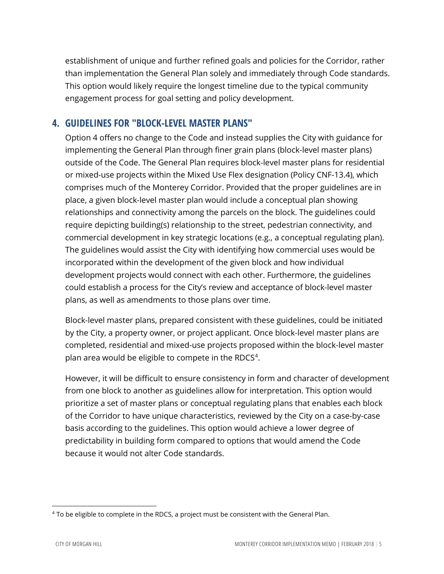establishment of unique and further refined goals and policies for the Corridor, rather than implementation the General Plan solely and immediately through Code standards. This option would likely require the longest timeline due to the typical community engagement process for goal setting and policy development.

#### **4. GUIDELINES FOR "BLOCK-LEVEL MASTER PLANS"**

Option 4 offers no change to the Code and instead supplies the City with guidance for implementing the General Plan through finer grain plans (block-level master plans) outside of the Code. The General Plan requires block-level master plans for residential or mixed-use projects within the Mixed Use Flex designation (Policy CNF-13.4), which comprises much of the Monterey Corridor. Provided that the proper guidelines are in place, a given block-level master plan would include a conceptual plan showing relationships and connectivity among the parcels on the block. The guidelines could require depicting building(s) relationship to the street, pedestrian connectivity, and commercial development in key strategic locations (e.g., a conceptual regulating plan). The guidelines would assist the City with identifying how commercial uses would be incorporated within the development of the given block and how individual development projects would connect with each other. Furthermore, the guidelines could establish a process for the City's review and acceptance of block-level master plans, as well as amendments to those plans over time.

Block-level master plans, prepared consistent with these guidelines, could be initiated by the City, a property owner, or project applicant. Once block-level master plans are completed, residential and mixed-use projects proposed within the block-level master plan area would be eligible to compete in the RDCS $4$ .

However, it will be difficult to ensure consistency in form and character of development from one block to another as guidelines allow for interpretation. This option would prioritize a set of master plans or conceptual regulating plans that enables each block of the Corridor to have unique characteristics, reviewed by the City on a case-by-case basis according to the guidelines. This option would achieve a lower degree of predictability in building form compared to options that would amend the Code because it would not alter Code standards.

<span id="page-5-0"></span> <sup>4</sup> To be eligible to complete in the RDCS, a project must be consistent with the General Plan.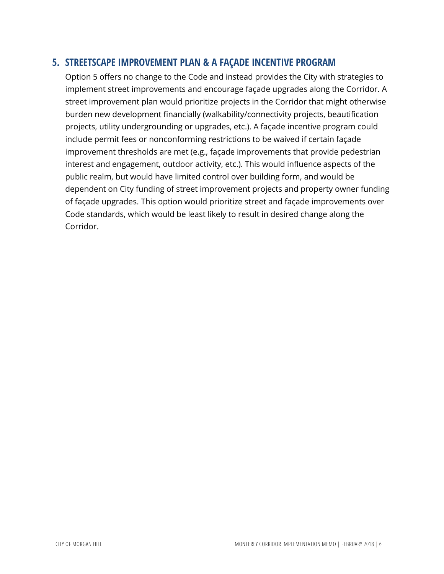#### **5. STREETSCAPE IMPROVEMENT PLAN & A FAÇADE INCENTIVE PROGRAM**

Option 5 offers no change to the Code and instead provides the City with strategies to implement street improvements and encourage façade upgrades along the Corridor. A street improvement plan would prioritize projects in the Corridor that might otherwise burden new development financially (walkability/connectivity projects, beautification projects, utility undergrounding or upgrades, etc.). A façade incentive program could include permit fees or nonconforming restrictions to be waived if certain façade improvement thresholds are met (e.g., façade improvements that provide pedestrian interest and engagement, outdoor activity, etc.). This would influence aspects of the public realm, but would have limited control over building form, and would be dependent on City funding of street improvement projects and property owner funding of façade upgrades. This option would prioritize street and façade improvements over Code standards, which would be least likely to result in desired change along the Corridor.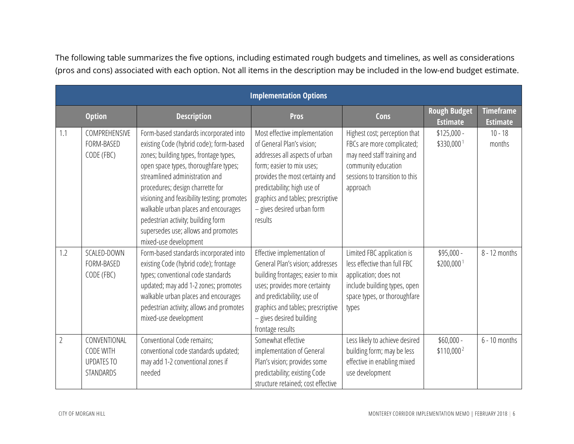The following table summarizes the five options, including estimated rough budgets and timelines, as well as considerations (pros and cons) associated with each option. Not all items in the description may be included in the low-end budget estimate.

| <b>Implementation Options</b> |                                                             |                                                                                                                                                                                                                                                                                                                                                                                                                                         |                                                                                                                                                                                                                                                                           |                                                                                                                                                                 |                                        |                                     |  |  |  |  |
|-------------------------------|-------------------------------------------------------------|-----------------------------------------------------------------------------------------------------------------------------------------------------------------------------------------------------------------------------------------------------------------------------------------------------------------------------------------------------------------------------------------------------------------------------------------|---------------------------------------------------------------------------------------------------------------------------------------------------------------------------------------------------------------------------------------------------------------------------|-----------------------------------------------------------------------------------------------------------------------------------------------------------------|----------------------------------------|-------------------------------------|--|--|--|--|
|                               | <b>Option</b>                                               | <b>Description</b>                                                                                                                                                                                                                                                                                                                                                                                                                      | <b>Pros</b>                                                                                                                                                                                                                                                               | <b>Cons</b>                                                                                                                                                     | <b>Rough Budget</b><br><b>Estimate</b> | <b>Timeframe</b><br><b>Estimate</b> |  |  |  |  |
| 1.1                           | COMPREHENSIVE<br>FORM-BASED<br>CODE (FBC)                   | Form-based standards incorporated into<br>existing Code (hybrid code); form-based<br>zones; building types, frontage types,<br>open space types, thoroughfare types;<br>streamlined administration and<br>procedures; design charrette for<br>visioning and feasibility testing; promotes<br>walkable urban places and encourages<br>pedestrian activity; building form<br>supersedes use; allows and promotes<br>mixed-use development | Most effective implementation<br>of General Plan's vision;<br>addresses all aspects of urban<br>form; easier to mix uses;<br>provides the most certainty and<br>predictability; high use of<br>graphics and tables; prescriptive<br>- gives desired urban form<br>results | Highest cost; perception that<br>FBCs are more complicated;<br>may need staff training and<br>community education<br>sessions to transition to this<br>approach | $$125,000 -$<br>\$330,000 <sup>1</sup> | $10 - 18$<br>months                 |  |  |  |  |
| 1.2                           | SCALED-DOWN<br>FORM-BASED<br>CODE (FBC)                     | Form-based standards incorporated into<br>existing Code (hybrid code); frontage<br>types; conventional code standards<br>updated; may add 1-2 zones; promotes<br>walkable urban places and encourages<br>pedestrian activity; allows and promotes<br>mixed-use development                                                                                                                                                              | Effective implementation of<br>General Plan's vision; addresses<br>building frontages; easier to mix<br>uses; provides more certainty<br>and predictability; use of<br>graphics and tables; prescriptive<br>- gives desired building<br>frontage results                  | Limited FBC application is<br>less effective than full FBC<br>application; does not<br>include building types, open<br>space types, or thoroughfare<br>types    | \$95,000 -<br>\$200,000 <sup>1</sup>   | 8 - 12 months                       |  |  |  |  |
| $\overline{2}$                | CONVENTIONAL<br>CODE WITH<br><b>UPDATES TO</b><br>STANDARDS | Conventional Code remains;<br>conventional code standards updated;<br>may add 1-2 conventional zones if<br>needed                                                                                                                                                                                                                                                                                                                       | Somewhat effective<br>implementation of General<br>Plan's vision; provides some<br>predictability; existing Code<br>structure retained; cost effective                                                                                                                    | Less likely to achieve desired<br>building form; may be less<br>effective in enabling mixed<br>use development                                                  | $$60,000 -$<br>$$110,000^2$            | $6 - 10$ months                     |  |  |  |  |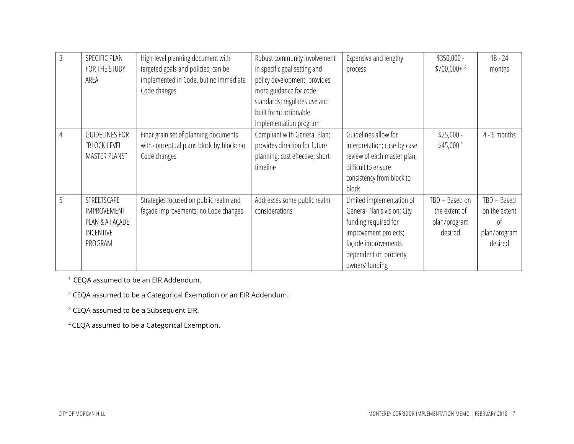| $\overline{3}$ | SPECIFIC PLAN<br>FOR THE STUDY<br>AREA                                       | High-level planning document with<br>targeted goals and policies; can be<br>implemented in Code, but no immediate<br>Code changes | Robust community involvement<br>in specific goal setting and<br>policy development; provides<br>more guidance for code<br>standards; regulates use and<br>built form; actionable | Expensive and lengthy<br>process                                                                                                                                             | $$350,000 -$<br>$$700,000+$ <sup>3</sup>                   | $18 - 24$<br>months                                           |
|----------------|------------------------------------------------------------------------------|-----------------------------------------------------------------------------------------------------------------------------------|----------------------------------------------------------------------------------------------------------------------------------------------------------------------------------|------------------------------------------------------------------------------------------------------------------------------------------------------------------------------|------------------------------------------------------------|---------------------------------------------------------------|
|                |                                                                              |                                                                                                                                   | implementation program                                                                                                                                                           |                                                                                                                                                                              |                                                            |                                                               |
| 4              | <b>GUIDELINES FOR</b><br>"BLOCK-LEVEL<br><b>MASTER PLANS"</b>                | Finer grain set of planning documents<br>with conceptual plans block-by-block; no<br>Code changes                                 | Compliant with General Plan;<br>provides direction for future<br>planning; cost effective; short<br>timeline                                                                     | Guidelines allow for<br>interpretation; case-by-case<br>review of each master plan;<br>difficult to ensure<br>consistency from block to<br>block                             | $$25,000 -$<br>\$45,000 <sup>4</sup>                       | $4 - 6$ months                                                |
|                | STREETSCAPE<br><b>IMPROVEMENT</b><br>PLAN & A FAÇADE<br>INCENTIVE<br>PROGRAM | Strategies focused on public realm and<br>façade improvements; no Code changes                                                    | Addresses some public realm<br>considerations                                                                                                                                    | Limited implementation of<br>General Plan's vision; City<br>funding required for<br>improvement projects;<br>façade improvements<br>dependent on property<br>owners' funding | TBD - Based on<br>the extent of<br>plan/program<br>desired | TBD - Based<br>on the extent<br>0t<br>plan/program<br>desired |

<sup>1</sup> CEQA assumed to be an EIR Addendum.

<sup>2</sup> CEQA assumed to be a Categorical Exemption or an EIR Addendum.

<sup>3</sup> CEQA assumed to be a Subsequent EIR.

4 CEQA assumed to be a Categorical Exemption.